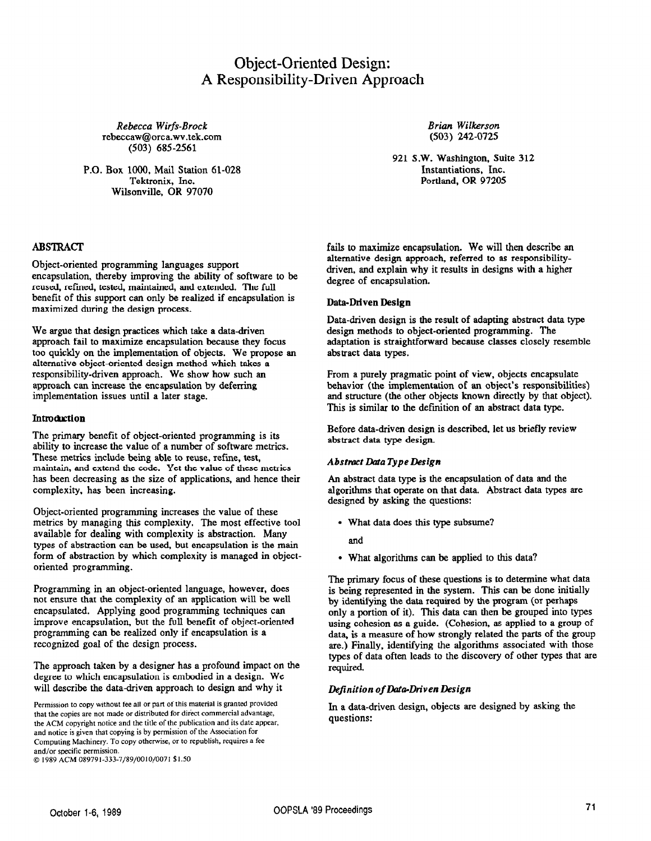# Object-Oriented Design: A Responsibility-Driven Approach

Rebecca Wirfs-Brock rebeccaw@orca.wv.tek.com (503) 685-2561

P.O. Box 1000, Mail Station 61-028 Tektronix, Inc. Wilsonville, OR 97070

#### Brian Wilkerson (503) 242-0725

921 S.W. Washington, Suite 312 Instantiations, Inc. Portland, OR 97205

# ABSTRACT

Object-oriented programming languages support encapsulation, thereby improving the ability of software to be reused, refined, tested, maintained, and extended. The full benefit of this support can only be realized if encapsulation is maximized during the design process.

We argue that design practices which take a data-driven approach fail to maximize encapsulation because they focus too quickly on the implementation of objects. We propose an alternative object-oriented design method which takes a responsibility-driven approach. We show how such an approach can increase the encapsulation by deferring implementation issues until a later stage.

#### Introduction

The primary benefit of object-oriented programming is its ability to increase the value of a number of software metrics. These metrics include being able to reuse, refine, test, maintain, and extend the code. Yet the value of these metrics has been decreasing as the size of applications, and hence their complexity, has been increasing.

Object-oriented programming increases the value of these metrics by managing this complexity. The most effective tool available for dealing with complexity is abstraction. Many types of abstraction can be used, but encapsulation is the main form of abstraction by which complexity is managed in objectoriented programming.

Programming in an object-oriented language, however, does not ensure that the complexity of an application will be well encapsulated. Applying good programming techniques can improve encapsulation, but the full benefit of object-oriented programming can be realized only if encapsulation is a recognized goal of the design process.

The approach taken by a designer has a profound impact on the degree to which encapsulation is embodied in a design. We will describe the data-driven approach to design and why it

fails to maximize encapsulation. We will then describe an alternative design approach, referred to as responsibilitydriven, and explain why it results in designs with a higher degree of encapsulation.

#### Data-Driven Design

Data-driven design is the result of adapting abstract data type design methods to object-oriented programming. The adaptation is straightforward because classes closely resemble abstract data types.

From a purely pragmatic point of view, objects encapsulate behavior (the implementation of an object's responsibilities) and structure (the other objects known directly by that object). This is similar to the definition of an abstract data type.

Before data-driven design is described, let us briefly review abstract data type design.

#### **Abstract Data Type Design**

An abstract data type is the encapsulation of data and the algorithms that operate on that data. Abstract data types are designed by asking the questions:

- What data does this type subsume?
- and
- What algorithms can be applied to this data?

The primary focus of these questions is to determine what data is being represented in the system. This can be done initially by identifying the data required by the program (or perhaps only a portion of it). This data can then be grouped into types using cohesion as a guide. (Cohesion, as applied to a group of data, is a measure of how strongly related the parts of the group are.) Finally, identifying the algorithms associated with those types of data often leads to the discovery of other types that are required.

## Definition of Data-Driven Design

In a data-driven design, objects are designed by asking the questions:

Permission to copy without fee all or part of this material is granted provided that the copies are not made or distributed for direct commercial advantage, the ACM copyright notice and the title of the publication and its date appear, and notice is given that copying is by permission of the Association for Computing Machinery. To copy otherwise, or to republish, requires a fee and/or specific permission.

<sup>0 1989</sup> ACM 089791-333-7/89/0010/0071 \$1.50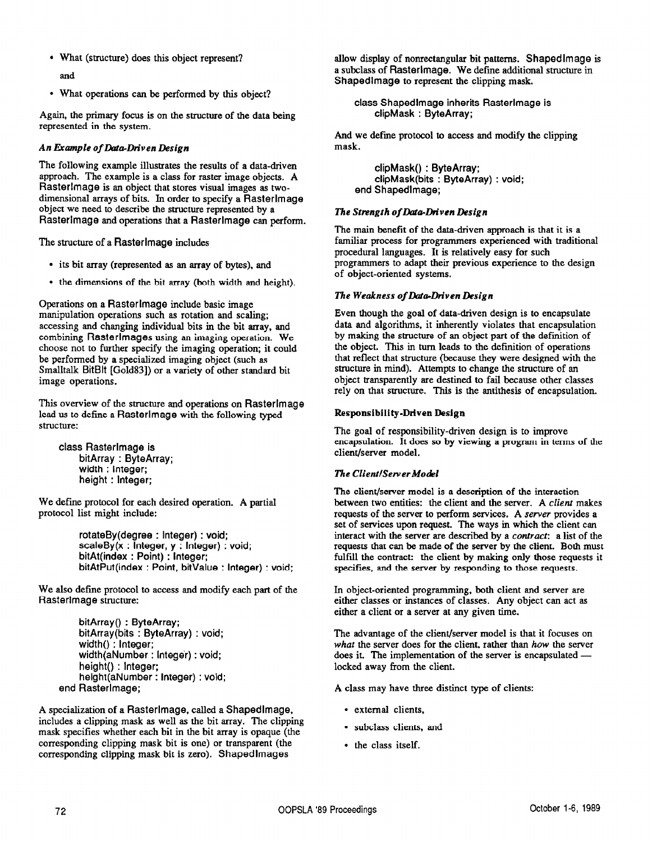• What (structure) does this object represent?

and

• What operations can be performed by this object?

Again, the primary focus is on the structure of the data being represented in the system.

# An Example of Data-Driven Design

The following example illustrates the results of a data-driven approach. The example is a class for raster image objects. A Rasterlmage is an object that stores visual images as twodimensional arrays of bits. In order to specify a Rasterlmage object we need to describe the structure represented by a Rasterlmage and operations that a Rasterlmage can perform.

The structure of a Rasterlmage includes

- its bit array (represented as an array of bytes), and
- the dimensions of the bit array (both width and height).

Operations on a Rasterlmage include basic image manipulation operations such as rotation and scaling; accessing and changing individual bits in the bit array, and combining Rasterlmages using an imaging operation. We choose not to further specify the imaging operation; it could be performed by a specialized imaging object (such as Smalltalk BitBlt [Gold83]) or a variety of other standard bit image operations.

This overview of the structure and operations on Rasterlmage lead us to define a Rasterlmage with the following typed structure:

class Rasterlmage is bitArray : ByteArray; width : Integer; height : Integer;

We define protocol for each desired operation. A partial protocol list might include:

> rotateBy(degree : Integer) : void; scaleBy(x : Integer, y : Integer) : void; bitAt(index : Point) : Integer; bitAtPut(index : Point, bitValue : Integer) : void;

We also define protocol to access and modify each part of the Rasterlmage structure:

bitArray(): ByteArray; bitArray(bits : ByteArray) : void; width(): Integer; width(aNumber : Integer) : void; height(): Integer; height(aNumber : Integer) : void; end Rasterlmage;

A specialization of a Rasterlmage, called a Shapedlmage, includes a clipping mask as well as the bit array. The clipping mask specifies whether each bit in the bit array is opaque (the corresponding clipping mask bit is one) or transparent (the corresponding clipping mask bit is zero). Shapedlmages

allow display of nonrectangular bit patterns. Shapedlmage is a subclass of Rasterlmage. We define additional structure in Shapedlmage to represent the clipping mask.

```
class Shapedlmage inherits Rasterlmage is 
clipMask : ByteArray;
```
And we define protocol to access and modify the clipping mask.

clipMask() : ByteArray; clipMask(bits : ByteArray) : void; end Shapedlmage;

# The Strength of Data-Driven Design

The main benefit of the data-driven approach is that it is a familiar process for programmers experienced with traditional procedural languages. It is relatively easy for such programmers to adapt their previous experience to the design of object-oriented systems.

# The Weakness of Data-Driven Design

Even though the goal of data-driven design is to encapsulate data and algorithms, it inherently violates that encapsulation by making the structure of an object part of the definition of the object. This in turn leads to the definition of operations that reflect that structure (because they were designed with the structure in mind). Attempts to change the structure of an object transparently are destined to fail because other classes rely on that structure. This is the antithesis of encapsulation.

# Responsibility-Driven Design

The goal of responsibility-driven design is to improve encapsulation. It does so by viewing a program in terms of the client/server model.

# The Client/Server Model

The client/server model is a description of the interaction between two entities: the client and the server. A *client* makes requests of the server to perform services. A server provides a set of services upon request. The ways in which the client can interact with the server are described by a contract: a list of the requests that can be made of the server by the client. Both must fulfill the contract: the client by making only those requests it specifies. and the server by responding to those requests.

In object-oriented programming, both client and server are either classes or instances of classes. Any object can act as either a client or a server at any given time.

The advantage of the client/server model is that it focuses on what the server does for the client, rather than how the server does it. The implementation of the server is encapsulated  $$ locked away from the client.

A class may have three distinct type of clients:

- external clients,
- subclass clients, and
- the class itself.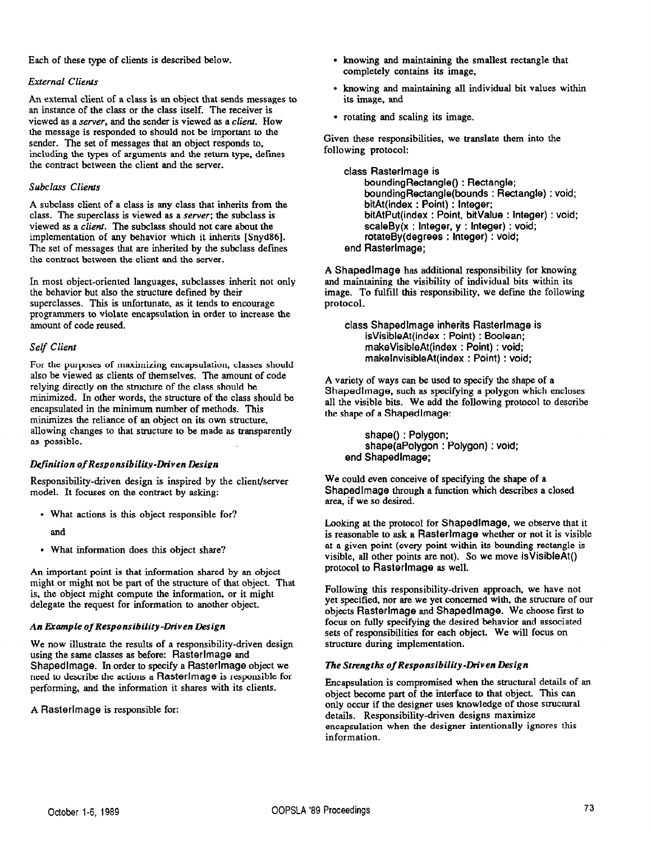## Each of these type of clients is described below.

## External Clients

An external client of a class is an object that sends messages to an instance of the class or the class itself. The receiver is viewed as a server, and the sender is viewed as a client. How the message is responded to should not be important to the sender. The set of messages that an object responds to, including the types of arguments and the return type, defines the contract between the client and the server.

# Subclass Clients

A subclass client of a class is any class that inherits from the class. The superclass is viewed as a sewer; the subclass is viewed as a client. The subclass should not care about the implementation of any behavior which it inherits [Snyd86]. The set of messages that are inherited by the subclass defines the contract between the client and the server.

In most object-oriented languages, subclasses inherit not only the behavior but also the structure defined by their superclasses. This is unfortunate, as it tends to encourage programmers to violate encapsulation in order to increase the amount of code reused.

# Self Client

For the purposes of maximizing encapsulation, classes should also be viewed as clients of themselves. The amount of code relying directly on the structure of the class should be minimized. In other words, the structure of the class should be encapsulated in the minimum number of methods. This minimizes the reliance of an object on its own structure, allowing changes to that structure to be made as transparently as possible.

# Definition of Responsibility-Driven Design

Responsibility-driven design is inspired by the client/server model. It focuses on the contract by asking:

- What actions is this object responsible for?
	- and
- . What information does this object share?

An important point is that information shared by an object might or might not be part of the structure of that object. That is, the object might compute the information, or it might delegate the request for information to another object.

## An Example of Responsibility-Driven Design

We now illustrate the results of a responsibility-driven design using the same classes as before: Rasterlmage and Shapedlmage. In order to specify a Rasterlmage object we need to describe the actions a Rasterlmage is responsible for performing, and the information it shares with its clients.

# A Rasterlmage is responsible for:

- knowing and maintaining the smallest rectangle that completely contains its image,
- knowing and maintaining all individual bit values within its image, and
- rotating and scaling its image.

Given these responsibilities, we translate them into the following protocol:

class Rasterlmage is boundingRectangle() : Rectangle; boundingRectangIe(bounds : Rectangle) : void; bitAt(index : Point) : Integer; bitAtPut(index : Point, bitValue : Integer) : void; scaleBy(x : Integer, y : Integer) : void; rotateBy(degrees : Integer) : void; end Rasterlmage;

A Shapedlmage has additional responsibility for knowing and maintaining the visibility of individual bits within its image. To fulfill this responsibility, we define the following protocol.

class Shapedlmage inherits Rasterlmage is isVisibleAt(index : Point) : Boolean; makeVisibleAt(index : Point) : void; makelnvisibleAt(index : Point) : void;

A variety of ways can be used to specify the shape of a Shapedlmage, such as specifying a polygon which encloses all the visible bits. We add the following protocol to describe the shape of a Shaped Image:

shape(): Polygon; shape(aPolygon : Polygon) : void; end Shapedlmage;

We could even conceive of specifying the shape of a Shapedlmage through a function which describes a closed area, if we so desired.

Looking at the protocol for Shapedlmage, we observe that it is reasonable to ask a Rasterlmage whether or not it is visible at a given point (every point within its bounding rectangle is visible, all other points are not). So we move isVisibleAt() protocol to Rasterlmage as well.

Following this responsibility-driven approach, we have not yet specified, nor are we yet concerned with, the structure of our objects Rasterlmage and Shapedlmage. We choose first to focus on fully specifying the desired behavior and associated sets of responsibilities for each object. We will focus on structure during implementation.

# The Strengths of Responsibility-Driven Design

Encapsulation is compromised when the structural details of an object become part of the interface to that object. This can only occur if the designer uses knowledge of those structural details, Responsibility-driven designs maximize encapsulation when the designer intentionally ignores this information.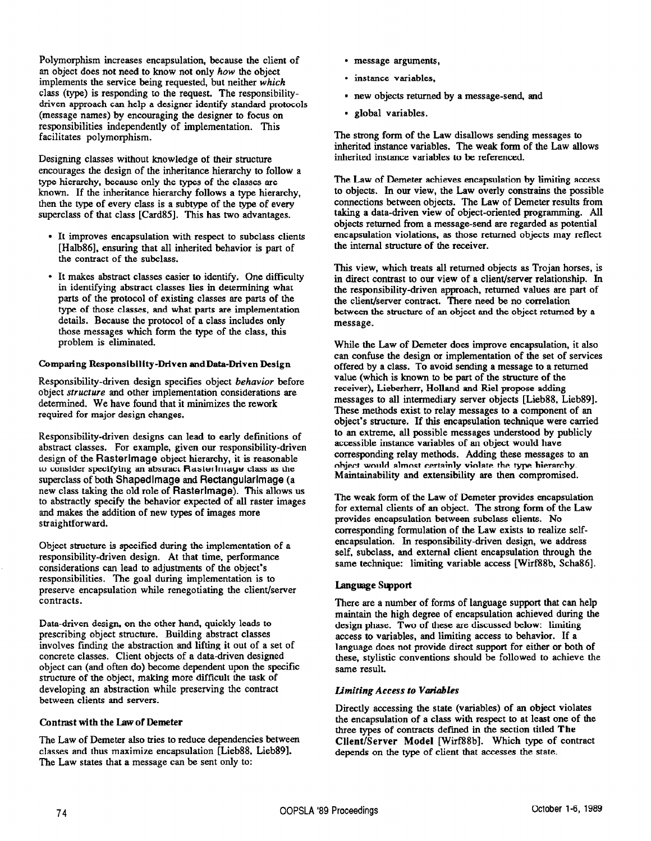Polymorphism increases encapsulation, because the client of an object does not need to know not only how the object implements the service being requested, but neither which class (type) is responding to the request. The responsibilitydriven approach can help a designer identify standard protocols (message names) by encouraging the designer to focus on responsibilities independently of implementation. This facilitates polymorphism.

Designing classes without knowledge of their structure encourages the design of the inheritance hierarchy to follow a type hierarchy, because only the types of the classes are known. If the inheritance hierarchy follows a type hierarchy, then the type of every class is a subtype of the type of every superclass of that class [Card85]. This has two advantages.

- It improves encapsulation with respect to subclass clients [Halb86], ensuring that all inherited behavior is part of the contract of the subclass.
- It makes abstract classes easier to identify. One difficulty in identifying abstract classes lies in determining what parts of the protocol of existing classes are parts of the type of those classes, and what parts are implementation details. Because the protocol of a class includes only those messages which form the type of the class, this problem is eliminated.

## Comparing Responsibility-Driven and Data-Driven Design

Responsibility-driven design specifies object behavior before object sfructure and other implementation considerations are determined. We have found that it minimizes the rework required for major design changes.

Responsibility-driven designs can lead to early definitions of abstract classes. For example, given our responsibility-driven design of the Rasterlmage object hierarchy, it is reasonable to consider specifying an abstract Rasterlmage class as the supercIass of both Shapedlmage and Rectangularlmage (a new class taking the old role of Rasterlmage). This allows us to abstractly specify the behavior expected of all raster images and makes the addition of new types of images more straightforward.

Object structure is specified during the implementation of a responsibility-driven design. At that time, performance considerations can lead to adjustments of the object's responsibilities. The goal during implementation is to preserve encapsulation while renegotiating the client/server contracts.

Data-driven design, on the other hand, quickly leads to prescribing object structure. Building abstract classes involves finding the abstraction and lifting it out of a set of concrete classes. Client objects of a data-driven designed object can (and often do) become dependent upon the specific structure of the object, making more difficult the task of developing an abstraction while preserving the contract between clients and servers.

#### Contrast with the Law of Demeter

The Law of Demeter also tries to reduce dependencies between classes and thus maximize encapsulation [Lieb88, Lieb891. The Law states that a message can be sent only to:

- message arguments,
- · instance variables,
- new objects returned by a message-send, and
- global variables.

The strong form of the Law disallows sending messages to inherited instance variables. The weak form of the Law allows inherited instance variables to be referenced.

The Law of Demeter achieves encapsulation by limiting access to objects. In our view, the Law overly constrains the possible connections between objects. The Law of Demeter results from taking a data-driven view of object-oriented programming. All objects returned from a message-send are regarded as potential encapsulation violations, as those returned objects may reflect the internal structure of the receiver.

This view, which treats all returned objects as Trojan horses, is in direct contrast to our view of a client/server relationship. In the responsibility-driven approach, returned values are part of the client/server contract. There need be no correlation between the structure of an object and the object returned by a message.

While the Law of Demeter does improve encapsulation, it also can confuse the design or implementation of the set of services offered by a class. To avoid sending a message to a returned value (which is known to be part of the structure of the receiver), Lieberherr, Holland and Riel propose adding messages to all intermediary server objects [Lieb88, Lieb89]. These methods exist to relay messages to a component of an object's structure. If this encapsulation technique were carried to an extreme, all possible messages understood by publicly accessible instance variables of an object would have corresponding relay methods. Adding these messages to an object would almost certainly violate the type hierarchy. Maintainability and extensibility are then compromised.

The weak form of the Law of Demeter provides encapsulation for external clients of an object. The strong form of the Law provides encapsulation between subclass clients. No corresponding formulation of the Law exists to realize selfencapsulation. In responsibility-driven design, we address self, subclass, and external client encapsulation through the same technique: limiting variable access [Wirf88b, Scha86].

## Language Support

There are a number of forms of language support that can help maintain the high degree of encapsulation achieved during the design phase. Two of these are discussed below: limiting access to variables, and limiting access to behavior. If a language does not provide direct support for either or both of these, stylistic conventions should be followed to achieve the same result.

# Limiting Access to Variables

Directly accessing the state (variables) of an object violates the encapsulation of a class with respect to at least one of the three types of contracts defined in the section titled The Client/Server Model [Wirf88b]. Which type of contract depends on the type of client that accesses the state.